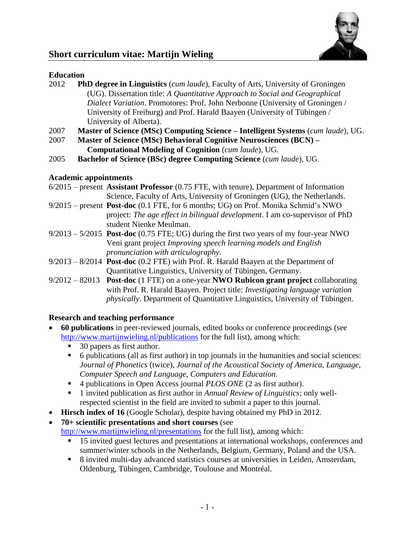

# **Short curriculum vitae: Martijn Wieling**

# **Education**

- 2012 **PhD degree in Linguistics** (*cum laude*), Faculty of Arts, University of Groningen (UG). Dissertation title: *A Quantitative Approach to Social and Geographical Dialect Variation*. Promotores: Prof. John Nerbonne (University of Groningen / University of Freiburg) and Prof. Harald Baayen (University of Tübingen / University of Alberta).
- 2007 **Master of Science (MSc) Computing Science – Intelligent Systems** (*cum laude*), UG.
- 2007 **Master of Science (MSc) Behavioral Cognitive Neurosciences (BCN) – Computational Modeling of Cognition** (*cum laude*)*,* UG.
- 2005 **Bachelor of Science (BSc) degree Computing Science** (*cum laude*)*,* UG.

# **Academic appointments**

- 6/2015 present **Assistant Professor** (0.75 FTE, with tenure), Department of Information Science, Faculty of Arts, University of Groningen (UG), the Netherlands.
- 9/2015 present **Post-doc** (0.1 FTE, for 6 months; UG) on Prof. Monika Schmid's NWO project: *The age effect in bilingual development*. I am co-supervisor of PhD student Nienke Meulman.
- 9/2013 5/2015 **Post-doc** (0.75 FTE; UG) during the first two years of my four-year NWO Veni grant project *Improving speech learning models and English pronunciation with articulography*.
- 9/2013 8/2014 **Post-doc** (0.2 FTE) with Prof. R. Harald Baayen at the Department of Quantitative Linguistics, University of Tübingen, Germany.
- 9/2012 82013 **Post-doc** (1 FTE) on a one-year **NWO Rubicon grant project** collaborating with Prof. R. Harald Baayen. Project title: *Investigating language variation physically*. Department of Quantitative Linguistics, University of Tübingen.

# **Research and teaching performance**

- **60 publications** in peer-reviewed journals, edited books or conference proceedings (see <http://www.martijnwieling.nl/publications> for the full list), among which:
	- 30 papers as first author.
	- 6 publications (all as first author) in top journals in the humanities and social sciences: *Journal of Phonetics* (twice), *Journal of the Acoustical Society of America*, *Language*, *Computer Speech and Language*, *Computers and Education.*
	- 4 publications in Open Access journal *PLOS ONE* (2 as first author).
	- 1 invited publication as first author in *Annual Review of Linguistics*; only wellrespected scientist in the field are invited to submit a paper to this journal.
- **Hirsch index of 16** (Google Scholar), despite having obtained my PhD in 2012.
- **70+ scientific presentations and short courses** (see <http://www.martijnwieling.nl/presentations> for the full list), among which:
	- <sup>15</sup> invited guest lectures and presentations at international workshops, conferences and summer/winter schools in the Netherlands, Belgium, Germany, Poland and the USA.
	- 8 invited multi-day advanced statistics courses at universities in Leiden, Amsterdam, Oldenburg, Tübingen, Cambridge, Toulouse and Montréal.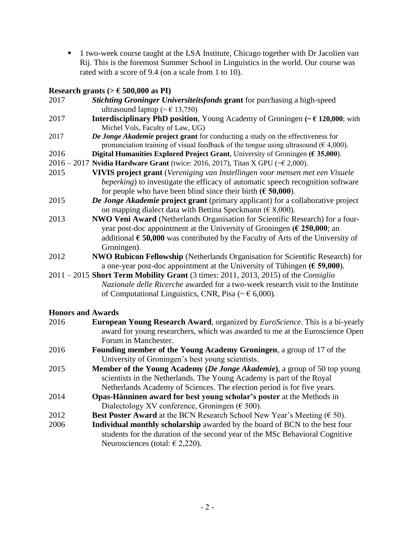■ 1 two-week course taught at the LSA Institute, Chicago together with Dr Jacolien van Rij. This is the foremost Summer School in Linguistics in the world. Our course was rated with a score of 9.4 (on a scale from 1 to 10).

# **Research grants (> € 500,000 as PI)**

|                          | $\frac{1}{2}$ and $\frac{1}{2}$ and $\frac{1}{2}$ $\frac{1}{2}$ $\frac{1}{2}$                                                                                                    |
|--------------------------|----------------------------------------------------------------------------------------------------------------------------------------------------------------------------------|
| 2017                     | Stichting Groninger Universiteitsfonds grant for purchasing a high-speed                                                                                                         |
|                          | ultrasound laptop ( $\sim \epsilon$ 13,750)                                                                                                                                      |
| 2017                     | <b>Interdisciplinary PhD position</b> , Young Academy of Groningen $(\sim \epsilon 120,000)$ ; with                                                                              |
|                          | Michel Vols, Faculty of Law, UG)                                                                                                                                                 |
| 2017                     | De Jonge Akademie project grant for conducting a study on the effectiveness for<br>pronunciation training of visual feedback of the tongue using ultrasound ( $\epsilon$ 4,000). |
| 2016                     | Digital Humanities Explored Project Grant, University of Groningen ( $\epsilon$ 35,000).                                                                                         |
|                          | 2016 - 2017 Nvidia Hardware Grant (twice: 2016, 2017), Titan X GPU ( $\leq$ 2,000).                                                                                              |
| 2015                     | VIVIS project grant (Vereniging van Instellingen voor mensen met een Visuele                                                                                                     |
|                          | <i>beperking</i> ) to investigate the efficacy of automatic speech recognition software                                                                                          |
|                          | for people who have been blind since their birth ( $\epsilon$ 50,000).                                                                                                           |
| 2015                     | De Jonge Akademie project grant (primary applicant) for a collaborative project                                                                                                  |
|                          | on mapping dialect data with Bettina Speckmann ( $\in$ 8,000).                                                                                                                   |
| 2013                     | NWO Veni Award (Netherlands Organisation for Scientific Research) for a four-                                                                                                    |
|                          | year post-doc appointment at the University of Groningen ( $\epsilon$ 250,000; an                                                                                                |
|                          | additional $\epsilon$ 50,000 was contributed by the Faculty of Arts of the University of                                                                                         |
|                          | Groningen).                                                                                                                                                                      |
| 2012                     | <b>NWO Rubicon Fellowship (Netherlands Organisation for Scientific Research) for</b>                                                                                             |
|                          | a one-year post-doc appointment at the University of Tübingen ( $\epsilon$ 59,000).                                                                                              |
|                          | $2011 - 2015$ Short Term Mobility Grant (3 times: 2011, 2013, 2015) of the <i>Consiglio</i>                                                                                      |
|                          | Nazionale delle Ricerche awarded for a two-week research visit to the Institute                                                                                                  |
|                          | of Computational Linguistics, CNR, Pisa ( $\sim \epsilon$ 6,000).                                                                                                                |
|                          |                                                                                                                                                                                  |
| <b>Honors and Awards</b> |                                                                                                                                                                                  |
| 2016                     | <b>European Young Research Award</b> , organized by <i>EuroScience</i> . This is a bi-yearly                                                                                     |
|                          | award for young researchers, which was awarded to me at the Euroscience Open                                                                                                     |
|                          | Forum in Manchester.                                                                                                                                                             |
| 2016                     | Founding member of the Young Academy Groningen, a group of 17 of the                                                                                                             |

- University of Groningen's best young scientists.
- 2015 **Member of the Young Academy (***De Jonge Akademie***)**, a group of 50 top young scientists in the Netherlands. The Young Academy is part of the Royal Netherlands Academy of Sciences. The election period is for five years.
- 2014 **Opas-Hänninen award for best young scholar's poster** at the Methods in Dialectology XV conference, Groningen ( $\epsilon$  500).
- 2012 **Best Poster Award** at the BCN Research School New Year's Meeting  $(\epsilon 50)$ .
- 2006 **Individual monthly scholarship** awarded by the board of BCN to the best four students for the duration of the second year of the MSc Behavioral Cognitive Neurosciences (total:  $\epsilon$  2,220).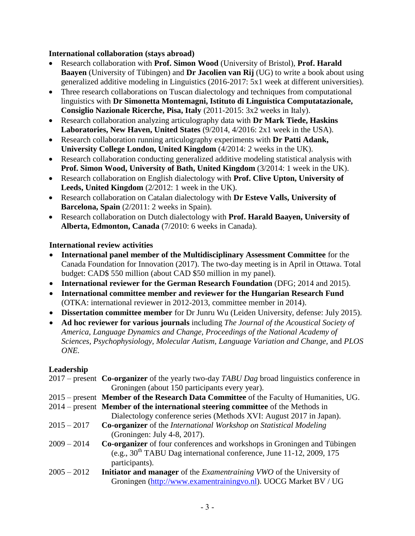#### **International collaboration (stays abroad)**

- Research collaboration with **Prof. Simon Wood** (University of Bristol), **Prof. Harald Baayen** (University of Tübingen) and **Dr Jacolien van Rij** (UG) to write a book about using generalized additive modeling in Linguistics (2016-2017: 5x1 week at different universities).
- Three research collaborations on Tuscan dialectology and techniques from computational linguistics with **Dr Simonetta Montemagni, Istituto di Linguistica Computatazionale, Consiglio Nazionale Ricerche, Pisa, Italy** (2011-2015: 3x2 weeks in Italy).
- Research collaboration analyzing articulography data with **Dr Mark Tiede, Haskins Laboratories, New Haven, United States** (9/2014, 4/2016: 2x1 week in the USA).
- Research collaboration running articulography experiments with **Dr Patti Adank, University College London, United Kingdom** (4/2014: 2 weeks in the UK).
- Research collaboration conducting generalized additive modeling statistical analysis with **Prof. Simon Wood, University of Bath, United Kingdom** (3/2014: 1 week in the UK).
- Research collaboration on English dialectology with **Prof. Clive Upton, University of Leeds, United Kingdom** (2/2012: 1 week in the UK).
- Research collaboration on Catalan dialectology with **Dr Esteve Valls, University of Barcelona, Spain** (2/2011: 2 weeks in Spain).
- Research collaboration on Dutch dialectology with **Prof. Harald Baayen, University of Alberta, Edmonton, Canada** (7/2010: 6 weeks in Canada).

#### **International review activities**

- **International panel member of the Multidisciplinary Assessment Committee** for the Canada Foundation for Innovation (2017). The two-day meeting is in April in Ottawa. Total budget: CAD\$ 550 million (about CAD \$50 million in my panel).
- **International reviewer for the German Research Foundation** (DFG; 2014 and 2015).
- **International committee member and reviewer for the Hungarian Research Fund** (OTKA: international reviewer in 2012-2013, committee member in 2014).
- **Dissertation committee member** for Dr Junru Wu (Leiden University, defense: July 2015).
- **Ad hoc reviewer for various journals** including *The Journal of the Acoustical Society of America, Language Dynamics and Change, Proceedings of the National Academy of Sciences, Psychophysiology, Molecular Autism, Language Variation and Change,* and *PLOS ONE.*

#### **Leadership**

|               | $2017$ – present Co-organizer of the yearly two-day TABU Dag broad linguistics conference in |
|---------------|----------------------------------------------------------------------------------------------|
|               | Groningen (about 150 participants every year).                                               |
|               | 2015 – present Member of the Research Data Committee of the Faculty of Humanities, UG.       |
|               | $2014$ – present Member of the international steering committee of the Methods in            |
|               | Dialectology conference series (Methods XVI: August 2017 in Japan).                          |
| $2015 - 2017$ | <b>Co-organizer</b> of the <i>International Workshop on Statistical Modeling</i>             |
|               | (Groningen: July 4-8, 2017).                                                                 |
| $2009 - 2014$ | Co-organizer of four conferences and workshops in Groningen and Tübingen                     |
|               | (e.g., $30th$ TABU Dag international conference, June 11-12, 2009, 175                       |
|               | participants).                                                                               |
| $2005 - 2012$ | <b>Initiator and manager</b> of the <i>Examentraining VWO</i> of the University of           |
|               | Groningen (http://www.examentrainingvo.nl). UOCG Market BV / UG                              |